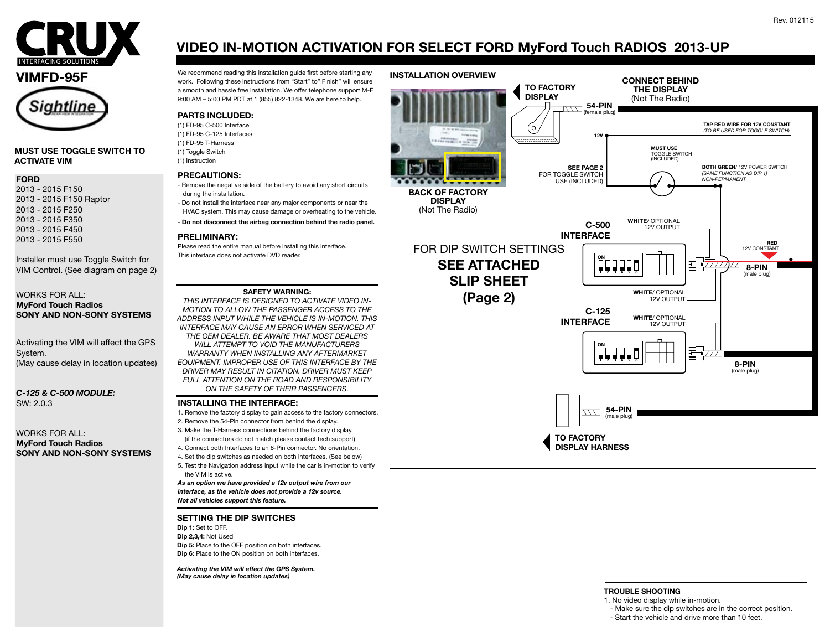



#### **MUST USE TOGGLE SWITCH TO ACTIVATE VIM**

#### **FORD**

- 2013 2015 F150 2013 - 2015 F150 Raptor 2013 - 2015 F250 2013 - 2015 F350 2013 - 2015 F450
- 2013 2015 F550

Installer must use Toggle Switch for VIM Control. (See diagram on page 2)

#### WORKS FOR ALL: **MyFord Touch Radios SONY AND NON-SONY SYSTEMS**

Activating the VIM will affect the GPS System. (May cause delay in location updates)

#### *C-125 & C-500 MODULE:* SW: 2.0.3

#### WORKS FOR ALL: **MyFord Touch Radios SONY AND NON-SONY SYSTEMS**

# **VIDEO IN-MOTION ACTIVATION FOR SELECT FORD MyFord Touch RADIOS 2013-UP**

We recommend reading this installation guide first before starting any Werecommend reading this installation guide first before starting any vallensure any vallensure work. Following these instructions from "Start" to" Fin a smooth and hassle free installation. We offer telephone support M-F 9:00 AM – 5:00 PM PDT at 1 (855) 822-1348. We are here to help.

### **PARTS INCLUDED:**

(1) FD-95 C-500 Interface (1) FD-95 C-125 Interfaces (1) FD-95 T-Harness (1) Toggle Switch (1) Instruction

#### **PRECAUTIONS:**

- Remove the negative side of the battery to avoid any short circuits during the installation. - Do not install the interface near any major components or near the
- HVAC system. This may cause damage or overheating to the vehicle.
- **Do not disconnect the airbag connection behind the radio panel.**

#### **PRELIMINARY:**

Please read the entire manual before installing this interface. This interface does not activate DVD reader.

#### **SAFETY WARNING:**

*THIS INTERFACE IS DESIGNED TO ACTIVATE VIDEO IN-MOTION TO ALLOW THE PASSENGER ACCESS TO THE ADDRESS INPUT WHILE THE VEHICLE IS IN-MOTION. THIS INTERFACE MAY CAUSE AN ERROR WHEN SERVICED AT THE OEM DEALER. BE AWARE THAT MOST DEALERS WILL ATTEMPT TO VOID THE MANUFACTURERS WARRANTY WHEN INSTALLING ANY AFTERMARKET EQUIPMENT. IMPROPER USE OF THIS INTERFACE BY THE DRIVER MAY RESULT IN CITATION. DRIVER MUST KEEP FULL ATTENTION ON THE ROAD AND RESPONSIBILITY ON THE SAFETY OF THEIR PASSENGERS.*

#### **INSTALLING THE INTERFACE:**

- 1. Remove the factory display to gain access to the factory connectors.
- 2. Remove the 54-Pin connector from behind the display.
- 3. Make the T-Harness connections behind the factory display. (if the connectors do not match please contact tech support)
- 4. Connect both Interfaces to an 8-Pin connector. No orientation.
- 4. Set the dip switches as needed on both interfaces. (See below)
- 5. Test the Navigation address input while the car is in-motion to verify the VIM is active.

*As an option we have provided a 12v output wire from our interface, as the vehicle does not provide a 12v source. Not all vehicles support this feature.*

#### **SETTING THE DIP SWITCHES**

**Dip 1:** Set to OFF. **Dip 2,3,4:** Not Used **Dip 5:** Place to the OFF position on both interfaces. **Dip 6:** Place to the ON position on both interfaces.

*Activating the VIM will effect the GPS System. (May cause delay in location updates)*





#### **TROUBLE SHOOTING**

- 1. No video display while in-motion.
- Make sure the dip switches are in the correct position.
- Start the vehicle and drive more than 10 feet.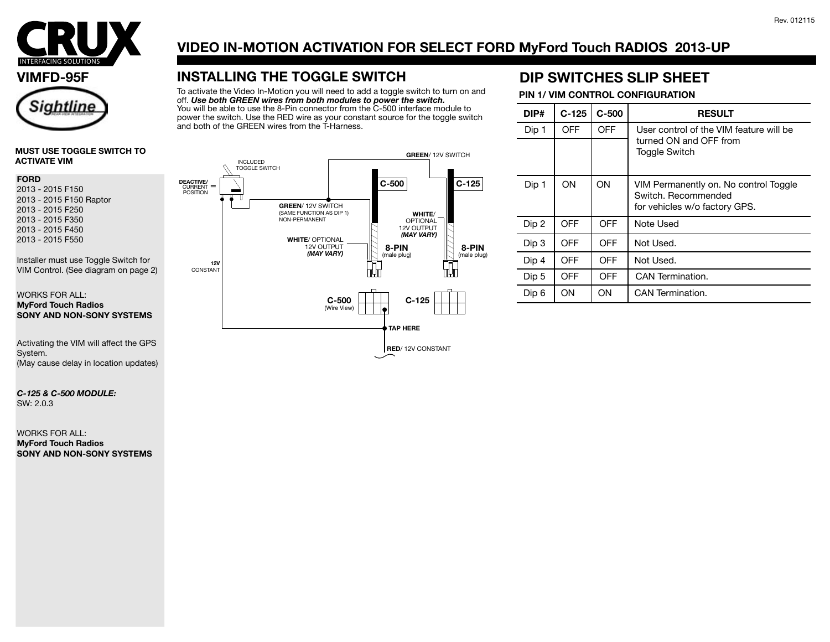

### **VIMFD-95F**



#### **MUST USE TOGGLE SWITCH TO ACTIVATE VIM**

#### **FORD**

2013 - 2015 F150 2013 - 2015 F150 Raptor 2013 - 2015 F250 2013 - 2015 F350 2013 - 2015 F450 2013 - 2015 F550

Installer must use Toggle Switch for VIM Control. (See diagram on page 2)

#### WORKS FOR ALL: **MyFord Touch Radios SONY AND NON-SONY SYSTEMS**

Activating the VIM will affect the GPS System. (May cause delay in location updates)

#### *C-125 & C-500 MODULE:* SW: 2.0.3

WORKS FOR ALL: **MyFord Touch Radios SONY AND NON-SONY SYSTEMS**

# **VIDEO IN-MOTION ACTIVATION FOR SELECT FORD MyFord Touch RADIOS 2013-UP**

# **INSTALLING THE TOGGLE SWITCH**

To activate the Video In-Motion you will need to add a toggle switch to turn on and off. *Use both GREEN wires from both modules to power the switch.* You will be able to use the 8-Pin connector from the C-500 interface module to power the switch. Use the RED wire as your constant source for the toggle switch and both of the GREEN wires from the T-Harness.

## **DIP SWITCHES SLIP SHEET**

### **PIN 1/ VIM CONTROL CONFIGURATION**

| DIP#  | $C-125$ | $C-500$    | <b>RESULT</b>                                                                                 |
|-------|---------|------------|-----------------------------------------------------------------------------------------------|
| Dip 1 | OFF     | <b>OFF</b> | User control of the VIM feature will be<br>turned ON and OFF from<br><b>Toggle Switch</b>     |
|       |         |            |                                                                                               |
| Dip 1 | ON      | ON         | VIM Permanently on. No control Toggle<br>Switch, Recommended<br>for vehicles w/o factory GPS. |
| Dip 2 | OFF     | OFF        | Note Used                                                                                     |
| Dip 3 | OFF     | OFF        | Not Used.                                                                                     |
| Dip 4 | OFF     | <b>OFF</b> | Not Used.                                                                                     |
| Dip 5 | OFF     | <b>OFF</b> | CAN Termination.                                                                              |
| Dip 6 | OΝ      | OΝ         | CAN Termination.                                                                              |